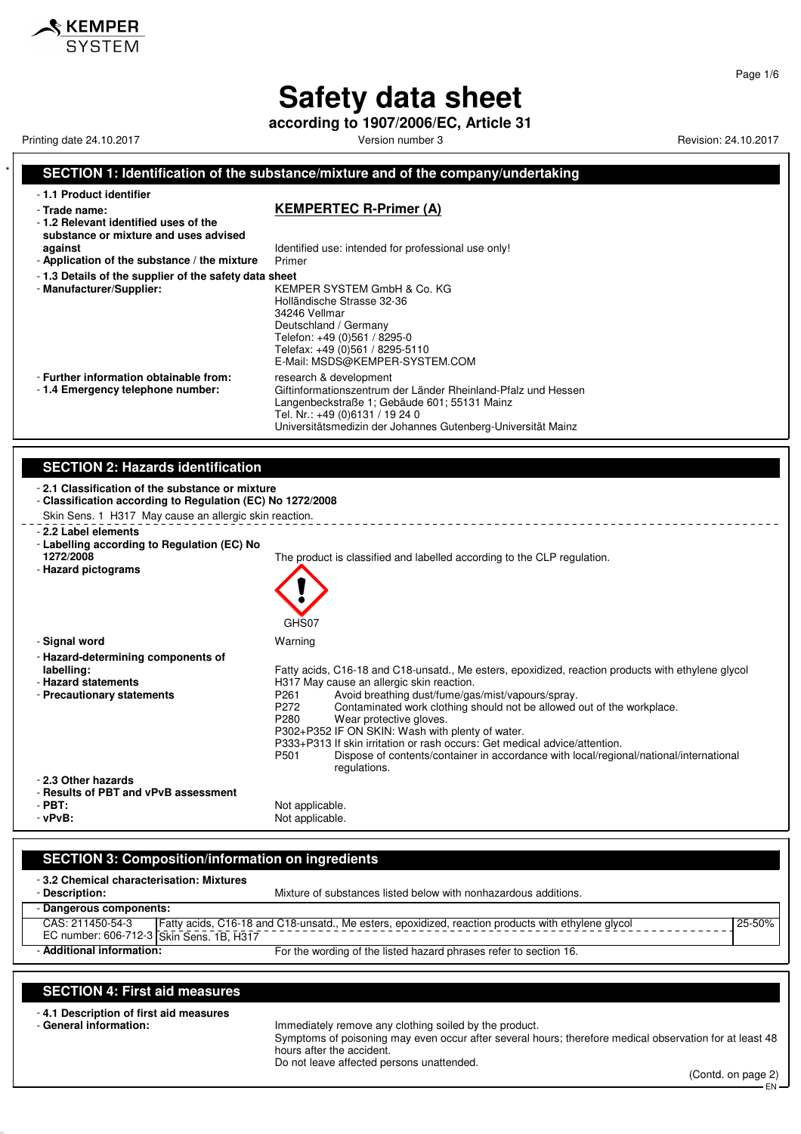**according to 1907/2006/EC, Article 31**

Printing date 24.10.2017 **Printing date 24.10.2017** Version number 3 Revision: 24.10.2017

KEMPER

### **SECTION 1: Identification of the substance/mixture and of the company/undertaking** - **1.1 Product identifier** - **Trade name: KEMPERTEC R-Primer (A)** - **1.2 Relevant identified uses of the substance or mixture and uses advised against against Identified use: intended for professional use only!**<br>**Application of the substance / the mixture** Primer - Application of the substance / the mixture - **1.3 Details of the supplier of the safety data sheet** - **Manufacturer/Supplier:** KEMPER SYSTEM GmbH & Co. KG Holländische Strasse 32-36 34246 Vellmar Deutschland / Germany Telefon: +49 (0)561 / 8295-0 Telefax: +49 (0)561 / 8295-5110 E-Mail: MSDS@KEMPER-SYSTEM.COM - **Further information obtainable from:** research & development<br>- 1.4 **Emergency telephone number:** Giftinformationszentrum Giftinformationszentrum der Länder Rheinland-Pfalz und Hessen Langenbeckstraße 1; Gebäude 601; 55131 Mainz Tel. Nr.: +49 (0)6131 / 19 24 0 Universitätsmedizin der Johannes Gutenberg-Universität Mainz **SECTION 2: Hazards identification** - **2.1 Classification of the substance or mixture** - **Classification according to Regulation (EC) No 1272/2008** Skin Sens. 1 H317 May cause an allergic skin reaction. - **2.2 Label elements** - **Labelling according to Regulation (EC) No** The product is classified and labelled according to the CLP regulation. - **Hazard pictograms** GHS<sub>07</sub> - **Signal word** Warning - **Hazard-determining components of labelling:** Fatty acids, C16-18 and C18-unsatd., Me esters, epoxidized, reaction products with ethylene glycol - **Hazard statements H317 May cause an allergic skin reaction.**<br>- **Precautionary statements Hangel Statements P261** Avoid breathing dust/fume/ga P261 Avoid breathing dust/fume/gas/mist/vapours/spray.<br>P272 Contaminated work clothing should not be allowed P272 Contaminated work clothing should not be allowed out of the workplace.<br>P280 Wear protective gloves. Wear protective gloves. P302+P352 IF ON SKIN: Wash with plenty of water. P333+P313 If skin irritation or rash occurs: Get medical advice/attention. Dispose of contents/container in accordance with local/regional/national/international regulations. - **2.3 Other hazards** - **Results of PBT and vPvB assessment** - **PBT:**<br>
- **vPvB:**<br>
- **vPvB:**<br>
- Not applicable. Not applicable.

## **SECTION 3: Composition/information on ingredients**

| -3.2 Chemical characterisation: Mixtures<br>- Description: | Mixture of substances listed below with nonhazardous additions.                                    |        |
|------------------------------------------------------------|----------------------------------------------------------------------------------------------------|--------|
| - Dangerous components:                                    |                                                                                                    |        |
| CAS: 211450-54-3                                           | Fatty acids, C16-18 and C18-unsatd., Me esters, epoxidized, reaction products with ethylene glycol | 25-50% |
| EC number: 606-712-3 Skin Sens. 1B, H317                   |                                                                                                    |        |
| - Additional information:                                  | For the wording of the listed hazard phrases refer to section 16.                                  |        |

# **SECTION 4: First aid measures**

- **4.1 Description of first aid measures**

Immediately remove any clothing soiled by the product. Symptoms of poisoning may even occur after several hours; therefore medical observation for at least 48 hours after the accident. Do not leave affected persons unattended.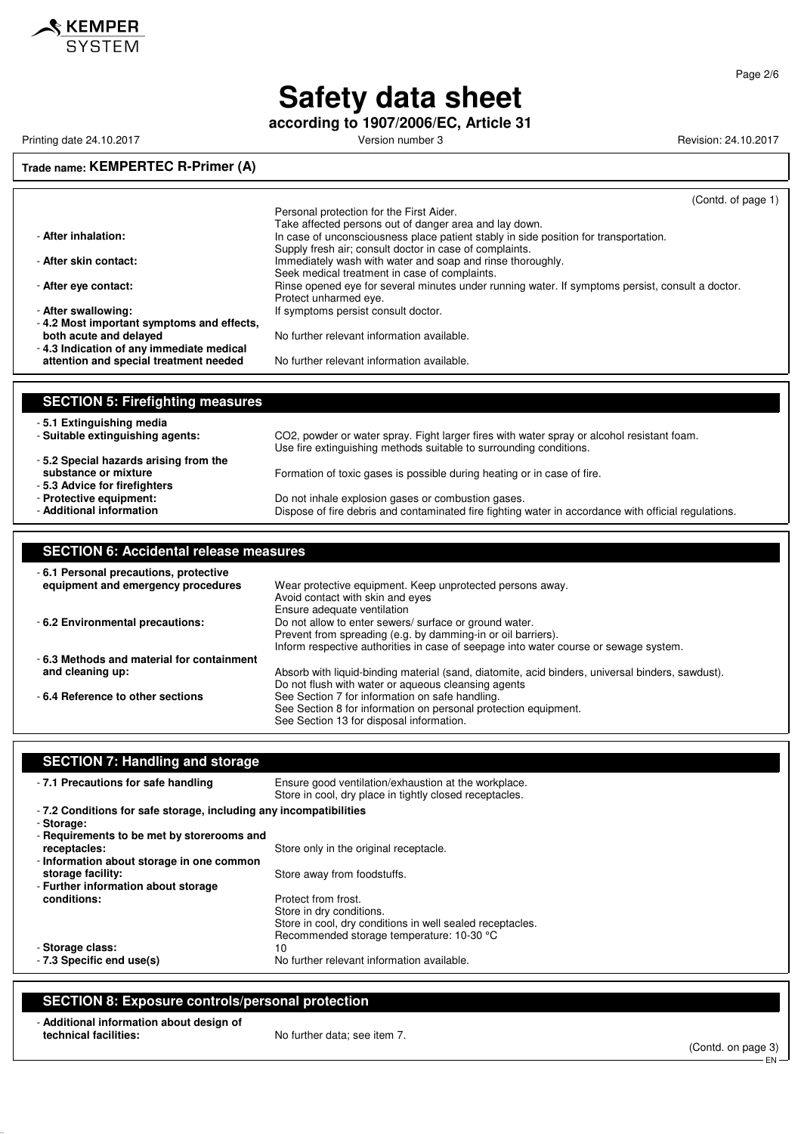

**according to 1907/2006/EC, Article 31**

Printing date 24.10.2017 **Printing date 24.10.2017** Version number 3 Revision: 24.10.2017

#### **Trade name: KEMPERTEC R-Primer (A)**

|                                           | (Contd. of page 1)                                                                                   |
|-------------------------------------------|------------------------------------------------------------------------------------------------------|
|                                           | Personal protection for the First Aider.                                                             |
|                                           | Take affected persons out of danger area and lay down.                                               |
| - After inhalation:                       | In case of unconsciousness place patient stably in side position for transportation.                 |
|                                           | Supply fresh air; consult doctor in case of complaints.                                              |
| - After skin contact:                     | Immediately wash with water and soap and rinse thoroughly.                                           |
|                                           | Seek medical treatment in case of complaints.                                                        |
| - After eye contact:                      | Rinse opened eye for several minutes under running water. If symptoms persist, consult a doctor.     |
|                                           | Protect unharmed eye.                                                                                |
| - After swallowing:                       | If symptoms persist consult doctor.                                                                  |
| -4.2 Most important symptoms and effects, |                                                                                                      |
|                                           | No further relevant information available.                                                           |
| both acute and delayed                    |                                                                                                      |
| -4.3 Indication of any immediate medical  |                                                                                                      |
| attention and special treatment needed    | No further relevant information available.                                                           |
|                                           |                                                                                                      |
|                                           |                                                                                                      |
| <b>SECTION 5: Firefighting measures</b>   |                                                                                                      |
| -5.1 Extinguishing media                  |                                                                                                      |
| - Suitable extinguishing agents:          | CO2, powder or water spray. Fight larger fires with water spray or alcohol resistant foam.           |
|                                           | Use fire extinguishing methods suitable to surrounding conditions.                                   |
| -5.2 Special hazards arising from the     |                                                                                                      |
| substance or mixture                      |                                                                                                      |
|                                           | Formation of toxic gases is possible during heating or in case of fire.                              |
| -5.3 Advice for firefighters              |                                                                                                      |
| - Protective equipment:                   | Do not inhale explosion gases or combustion gases.                                                   |
| - Additional information                  | Dispose of fire debris and contaminated fire fighting water in accordance with official regulations. |

#### **SECTION 6: Accidental release measures** - **6.1 Personal precautions, protective** Wear protective equipment. Keep unprotected persons away. Avoid contact with skin and eyes Ensure adequate ventilation - **6.2 Environmental precautions:** Do not allow to enter sewers/ surface or ground water. Prevent from spreading (e.g. by damming-in or oil barriers). Inform respective authorities in case of seepage into water course or sewage system. - **6.3 Methods and material for containment** Absorb with liquid-binding material (sand, diatomite, acid binders, universal binders, sawdust). Do not flush with water or aqueous cleansing agents - **6.4 Reference to other sections** See Section 7 for information on safe handling. See Section 8 for information on personal protection equipment. See Section 13 for disposal information.

| <b>SECTION 7: Handling and storage</b>                                          |                                                                                                                 |
|---------------------------------------------------------------------------------|-----------------------------------------------------------------------------------------------------------------|
| - 7.1 Precautions for safe handling                                             | Ensure good ventilation/exhaustion at the workplace.<br>Store in cool, dry place in tightly closed receptacles. |
| -7.2 Conditions for safe storage, including any incompatibilities<br>- Storage: |                                                                                                                 |
| - Requirements to be met by storerooms and                                      |                                                                                                                 |
| receptacles:                                                                    | Store only in the original receptacle.                                                                          |
| - Information about storage in one common                                       |                                                                                                                 |
| storage facility:                                                               | Store away from foodstuffs.                                                                                     |
| - Further information about storage                                             |                                                                                                                 |
| conditions:                                                                     | Protect from frost.                                                                                             |
|                                                                                 | Store in dry conditions.                                                                                        |
|                                                                                 | Store in cool, dry conditions in well sealed receptacles.                                                       |
|                                                                                 | Recommended storage temperature: 10-30 °C                                                                       |
| - Storage class:                                                                | 10                                                                                                              |
| - 7.3 Specific end use(s)                                                       | No further relevant information available.                                                                      |
|                                                                                 |                                                                                                                 |

#### **SECTION 8: Exposure controls/personal protection**

#### - **Additional information about design of technical facilities:** No further data; see item 7.

(Contd. on page 3)

EN

Page 2/6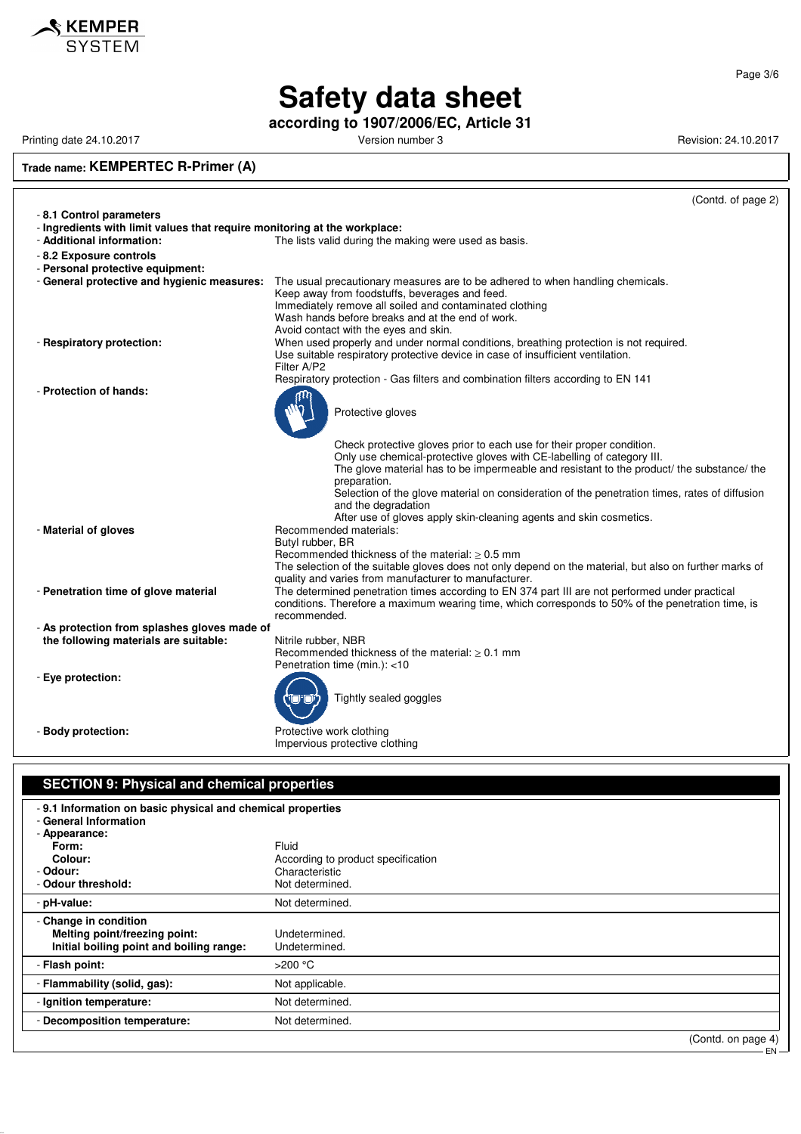

**according to 1907/2006/EC, Article 31**

Printing date 24.10.2017 **Version number 3** Version number 3 Revision: 24.10.2017

**Trade name: KEMPERTEC R-Primer (A)**

|                                                                                                        | (Contd. of page 2)                                                                                                                                                                                                                                                                                                                                                                                                                                         |
|--------------------------------------------------------------------------------------------------------|------------------------------------------------------------------------------------------------------------------------------------------------------------------------------------------------------------------------------------------------------------------------------------------------------------------------------------------------------------------------------------------------------------------------------------------------------------|
| - 8.1 Control parameters                                                                               |                                                                                                                                                                                                                                                                                                                                                                                                                                                            |
| - Ingredients with limit values that require monitoring at the workplace:<br>- Additional information: | The lists valid during the making were used as basis.                                                                                                                                                                                                                                                                                                                                                                                                      |
| - 8.2 Exposure controls<br>- Personal protective equipment:                                            |                                                                                                                                                                                                                                                                                                                                                                                                                                                            |
|                                                                                                        | - General protective and hygienic measures: The usual precautionary measures are to be adhered to when handling chemicals.<br>Keep away from foodstuffs, beverages and feed.<br>Immediately remove all soiled and contaminated clothing<br>Wash hands before breaks and at the end of work.<br>Avoid contact with the eyes and skin.                                                                                                                       |
| - Respiratory protection:                                                                              | When used properly and under normal conditions, breathing protection is not required.<br>Use suitable respiratory protective device in case of insufficient ventilation.<br>Filter A/P2<br>Respiratory protection - Gas filters and combination filters according to EN 141                                                                                                                                                                                |
| - Protection of hands:                                                                                 | Protective gloves                                                                                                                                                                                                                                                                                                                                                                                                                                          |
|                                                                                                        | Check protective gloves prior to each use for their proper condition.<br>Only use chemical-protective gloves with CE-labelling of category III.<br>The glove material has to be impermeable and resistant to the product/ the substance/ the<br>preparation.<br>Selection of the glove material on consideration of the penetration times, rates of diffusion<br>and the degradation<br>After use of gloves apply skin-cleaning agents and skin cosmetics. |
| - Material of gloves                                                                                   | Recommended materials:<br>Butyl rubber, BR<br>Recommended thickness of the material: $\geq 0.5$ mm<br>The selection of the suitable gloves does not only depend on the material, but also on further marks of<br>quality and varies from manufacturer to manufacturer.                                                                                                                                                                                     |
| - Penetration time of glove material                                                                   | The determined penetration times according to EN 374 part III are not performed under practical<br>conditions. Therefore a maximum wearing time, which corresponds to 50% of the penetration time, is<br>recommended.                                                                                                                                                                                                                                      |
| - As protection from splashes gloves made of                                                           |                                                                                                                                                                                                                                                                                                                                                                                                                                                            |
| the following materials are suitable:                                                                  | Nitrile rubber, NBR<br>Recommended thickness of the material: $\geq 0.1$ mm<br>Penetration time (min.): <10                                                                                                                                                                                                                                                                                                                                                |
| - Eye protection:                                                                                      | Tightly sealed goggles                                                                                                                                                                                                                                                                                                                                                                                                                                     |
| - Body protection:                                                                                     | Protective work clothing<br>Impervious protective clothing                                                                                                                                                                                                                                                                                                                                                                                                 |

### **SECTION 9: Physical and chemical properties** - **9.1 Information on basic physical and chemical properties** - **General Information** - **Appearance: Form:** Fluid According to product specification - **Odour:** Characteristic - Odour threshold: - pH-value: Not determined. - **Change in condition Melting point/freezing point:** Undetermined. **Initial boiling point and boiling range:** Undetermined. - **Flash point:**  $>200 °C$ - **Flammability (solid, gas):** Not applicable. - **Ignition temperature:** Not determined. - **Decomposition temperature:** Not determined. (Contd. on page 4) EN

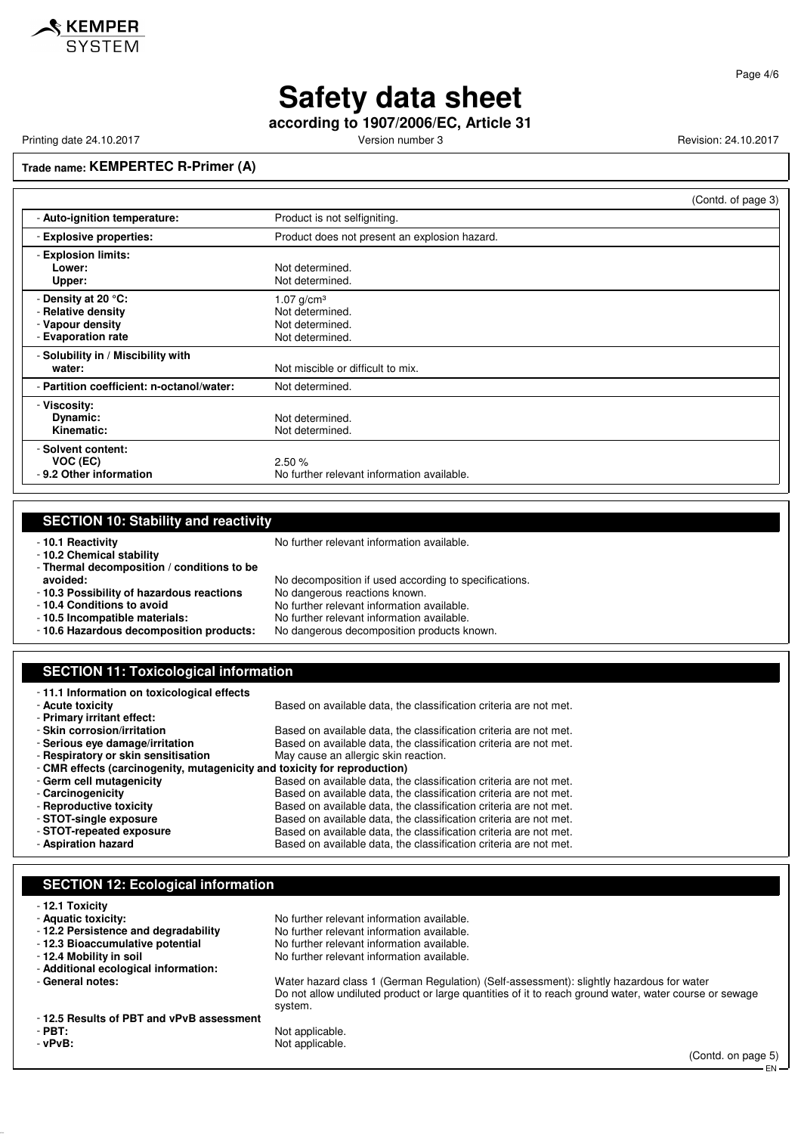

**according to 1907/2006/EC, Article 31**

Printing date 24.10.2017 **Printing date 24.10.2017** Version number 3 Revision: 24.10.2017

**Trade name: KEMPERTEC R-Primer (A)**

|                                           | (Contd. of page 3)                            |
|-------------------------------------------|-----------------------------------------------|
| - Auto-ignition temperature:              | Product is not selfigniting.                  |
| - Explosive properties:                   | Product does not present an explosion hazard. |
| - Explosion limits:                       |                                               |
| Lower:                                    | Not determined.                               |
| Upper:                                    | Not determined.                               |
| - Density at 20 °C:                       | 1.07 $g/cm^{3}$                               |
| - Relative density                        | Not determined.                               |
| - Vapour density                          | Not determined.                               |
| - Evaporation rate                        | Not determined.                               |
| - Solubility in / Miscibility with        |                                               |
| water:                                    | Not miscible or difficult to mix.             |
| - Partition coefficient: n-octanol/water: | Not determined.                               |
| - Viscosity:                              |                                               |
| Dynamic:                                  | Not determined.                               |
| Kinematic:                                | Not determined.                               |
| - Solvent content:                        |                                               |
| VOC (EC)                                  | 2.50%                                         |
| - 9.2 Other information                   | No further relevant information available.    |

| <b>SECTION 10: Stability and reactivity</b>                               |                                                                   |  |  |
|---------------------------------------------------------------------------|-------------------------------------------------------------------|--|--|
| -10.1 Reactivity                                                          | No further relevant information available.                        |  |  |
| -10.2 Chemical stability                                                  |                                                                   |  |  |
| - Thermal decomposition / conditions to be                                |                                                                   |  |  |
| avoided:                                                                  | No decomposition if used according to specifications.             |  |  |
| - 10.3 Possibility of hazardous reactions                                 | No dangerous reactions known.                                     |  |  |
| - 10.4 Conditions to avoid                                                | No further relevant information available.                        |  |  |
| -10.5 Incompatible materials:                                             | No further relevant information available.                        |  |  |
| - 10.6 Hazardous decomposition products:                                  | No dangerous decomposition products known.                        |  |  |
|                                                                           |                                                                   |  |  |
|                                                                           |                                                                   |  |  |
|                                                                           |                                                                   |  |  |
| <b>SECTION 11: Toxicological information</b>                              |                                                                   |  |  |
| -11.1 Information on toxicological effects                                |                                                                   |  |  |
| - Acute toxicity                                                          | Based on available data, the classification criteria are not met. |  |  |
| - Primary irritant effect:                                                |                                                                   |  |  |
| - Skin corrosion/irritation                                               | Based on available data, the classification criteria are not met. |  |  |
| - Serious eye damage/irritation                                           | Based on available data, the classification criteria are not met. |  |  |
| - Respiratory or skin sensitisation                                       | May cause an allergic skin reaction.                              |  |  |
| - CMR effects (carcinogenity, mutagenicity and toxicity for reproduction) |                                                                   |  |  |

#### - **Carcinogenicity**<br> **Based on available data, the classification criteria are not met.**<br>
Based on available data, the classification criteria are not met. Based on available data, the classification criteria are not met. - **STOT-single exposure** Based on available data, the classification criteria are not met.<br>- **STOT-repeated exposure** Based on available data, the classification criteria are not met. - **STOT-repeated exposure** Based on available data, the classification criteria are not met.<br>- **Aspiration hazard** Based on available data, the classification criteria are not met. Based on available data, the classification criteria are not met.

# **SECTION 12: Ecological information**

- **12.1 Toxicity** No further relevant information available.<br>No further relevant information available. - 12.2 Persistence and degradability - **12.3 Bioaccumulative potential** No further relevant information available.<br>- **12.4 Mobility in soil** No further relevant information available. No further relevant information available. - **Additional ecological information:** - **General notes:** Water hazard class 1 (German Regulation) (Self-assessment): slightly hazardous for water Do not allow undiluted product or large quantities of it to reach ground water, water course or sewage - **12.5 Results of PBT and vPvB assessment**

- 
- 

system. - **PBT:**<br>
- **vPvB:**<br>
Not applicable.

Not applicable.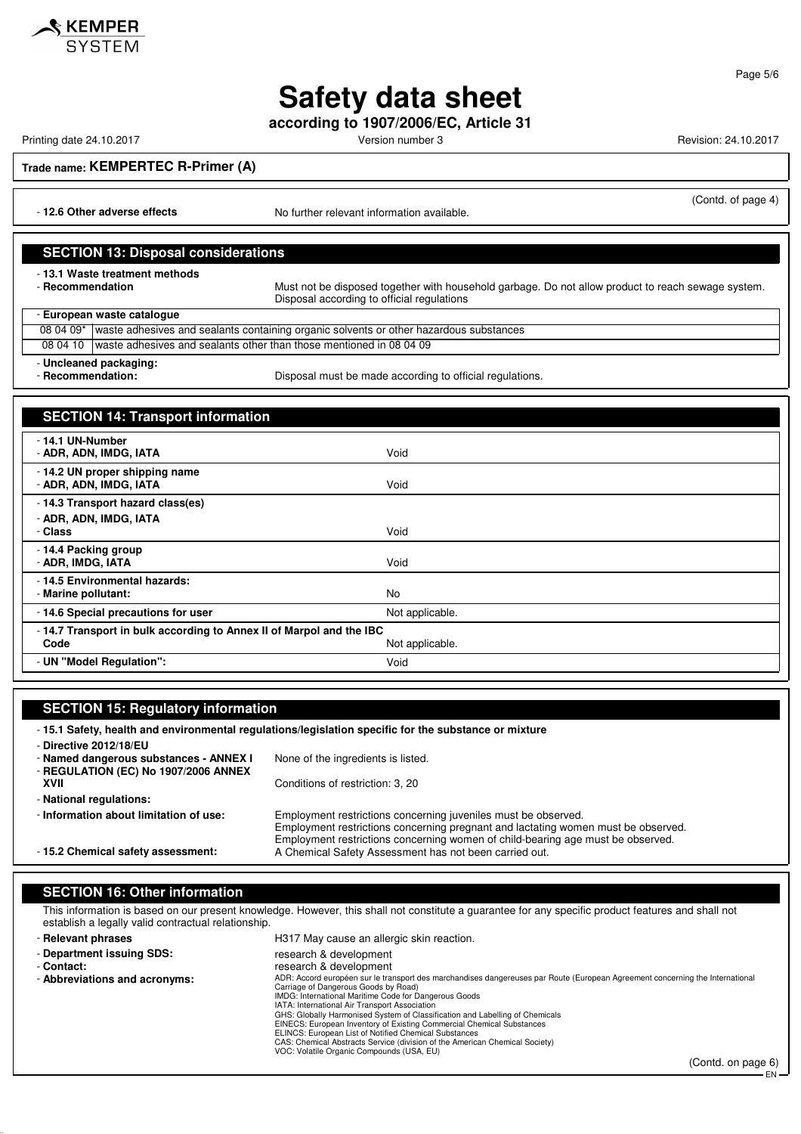

**according to 1907/2006/EC, Article 31**

Printing date 24.10.2017 **Printing date 24.10.2017** Version number 3 Revision: 24.10.2017

 $\mathbf{\hat{R}}$  KEMPER

(Contd. of page 4)

**Trade name: KEMPERTEC R-Primer (A)**

- **12.6 Other adverse effects** No further relevant information available.

#### **SECTION 13: Disposal considerations**

- **13.1 Waste treatment methods**

Must not be disposed together with household garbage. Do not allow product to reach sewage system. Disposal according to official regulations

- **European waste catalogue**

08 04 09\* waste adhesives and sealants containing organic solvents or other hazardous substances 08 04 10 waste adhesives and sealants other than those mentioned in 08 04 09

- **Uncleaned packaging:**

- **Recommendation:** Disposal must be made according to official regulations.

### **SECTION 14: Transport information** - **14.1 UN-Number** - **ADR, ADN, IMDG, IATA** Void - **14.2 UN proper shipping name** - **ADR, ADN, IMDG, IATA** Void - **14.3 Transport hazard class(es)** - **ADR, ADN, IMDG, IATA** - **Class** Void - **14.4 Packing group** - **ADR, IMDG, IATA** Void - **14.5 Environmental hazards:** - **Marine pollutant:** No - **14.6 Special precautions for user** Not applicable. - **14.7 Transport in bulk according to Annex II of Marpol and the IBC** Not applicable. - **UN "Model Regulation":** Void

#### **SECTION 15: Regulatory information** - **15.1 Safety, health and environmental regulations/legislation specific for the substance or mixture** - **Directive 2012/18/EU** - **Named dangerous substances - ANNEX I** None of the ingredients is listed. - **REGULATION (EC) No 1907/2006 ANNEX XVII** Conditions of restriction: 3, 20 - **National regulations:** - **Information about limitation of use:** Employment restrictions concerning juveniles must be observed. Employment restrictions concerning pregnant and lactating women must be observed. Employment restrictions concerning women of child-bearing age must be observed. - **15.2 Chemical safety assessment:** A Chemical Safety Assessment has not been carried out.

### **SECTION 16: Other information**

This information is based on our present knowledge. However, this shall not constitute a guarantee for any specific product features and shall not establish a legally valid contractual relationship.

| - Relevant phrases            | H317 May cause an allergic skin reaction.                                                                                                                                                                                                                                                                                                                                                                                                                                                                                                                                        |
|-------------------------------|----------------------------------------------------------------------------------------------------------------------------------------------------------------------------------------------------------------------------------------------------------------------------------------------------------------------------------------------------------------------------------------------------------------------------------------------------------------------------------------------------------------------------------------------------------------------------------|
| - Department issuing SDS:     | research & development                                                                                                                                                                                                                                                                                                                                                                                                                                                                                                                                                           |
| - Contact:                    | research & development                                                                                                                                                                                                                                                                                                                                                                                                                                                                                                                                                           |
| - Abbreviations and acronyms: | ADR: Accord européen sur le transport des marchandises dangereuses par Route (European Agreement concerning the International<br>Carriage of Dangerous Goods by Road)<br>IMDG: International Maritime Code for Dangerous Goods<br>IATA: International Air Transport Association<br>GHS: Globally Harmonised System of Classification and Labelling of Chemicals<br>EINECS: European Inventory of Existing Commercial Chemical Substances<br>ELINCS: European List of Notified Chemical Substances<br>CAS: Chemical Abstracts Service (division of the American Chemical Society) |
|                               | VOC: Volatile Organic Compounds (USA, EU)<br>$\sim$ $\sim$ $\sim$ $\sim$                                                                                                                                                                                                                                                                                                                                                                                                                                                                                                         |
|                               |                                                                                                                                                                                                                                                                                                                                                                                                                                                                                                                                                                                  |

(Contd. on page 6)

EN

Page 5/6